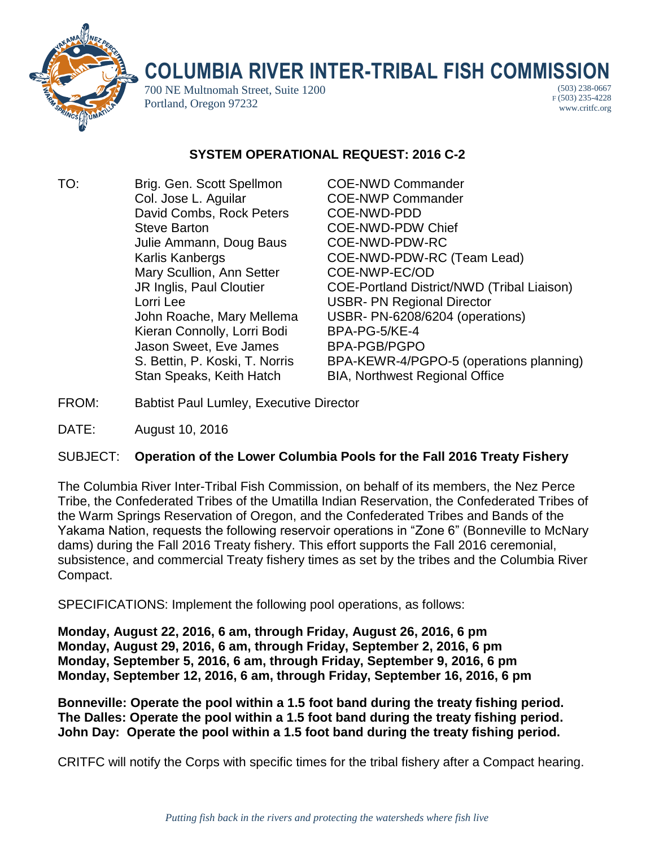

## **COLUMBIA RIVER INTER-TRIBAL FISH COMMISSION**

700 NE Multnomah Street, Suite 1200 Portland, Oregon 97232

(503) 238-0667 F (503) 235-4228 www.critfc.org

## **SYSTEM OPERATIONAL REQUEST: 2016 C-2**

TO: Brig. Gen. Scott Spellmon COE-NWD Commander Col. Jose L. Aguilar COE-NWP Commander David Combs, Rock Peters COE-NWD-PDD Steve Barton **COE-NWD-PDW Chief** Julie Ammann, Doug Baus COE-NWD-PDW-RC Mary Scullion, Ann Setter COE-NWP-EC/OD Lorri Lee USBR- PN Regional Director Kieran Connolly, Lorri Bodi BPA-PG-5/KE-4 Jason Sweet, Eve James BPA-PGB/PGPO Stan Speaks, Keith Hatch BIA, Northwest Regional Office

Karlis Kanbergs COE-NWD-PDW-RC (Team Lead) JR Inglis, Paul Cloutier COE-Portland District/NWD (Tribal Liaison) John Roache, Mary Mellema USBR- PN-6208/6204 (operations) S. Bettin, P. Koski, T. Norris BPA-KEWR-4/PGPO-5 (operations planning)

FROM: Babtist Paul Lumley, Executive Director

DATE: August 10, 2016

## SUBJECT: **Operation of the Lower Columbia Pools for the Fall 2016 Treaty Fishery**

The Columbia River Inter-Tribal Fish Commission, on behalf of its members, the Nez Perce Tribe, the Confederated Tribes of the Umatilla Indian Reservation, the Confederated Tribes of the Warm Springs Reservation of Oregon, and the Confederated Tribes and Bands of the Yakama Nation, requests the following reservoir operations in "Zone 6" (Bonneville to McNary dams) during the Fall 2016 Treaty fishery. This effort supports the Fall 2016 ceremonial, subsistence, and commercial Treaty fishery times as set by the tribes and the Columbia River Compact.

SPECIFICATIONS: Implement the following pool operations, as follows:

**Monday, August 22, 2016, 6 am, through Friday, August 26, 2016, 6 pm Monday, August 29, 2016, 6 am, through Friday, September 2, 2016, 6 pm Monday, September 5, 2016, 6 am, through Friday, September 9, 2016, 6 pm Monday, September 12, 2016, 6 am, through Friday, September 16, 2016, 6 pm**

**Bonneville: Operate the pool within a 1.5 foot band during the treaty fishing period. The Dalles: Operate the pool within a 1.5 foot band during the treaty fishing period. John Day: Operate the pool within a 1.5 foot band during the treaty fishing period.**

CRITFC will notify the Corps with specific times for the tribal fishery after a Compact hearing.